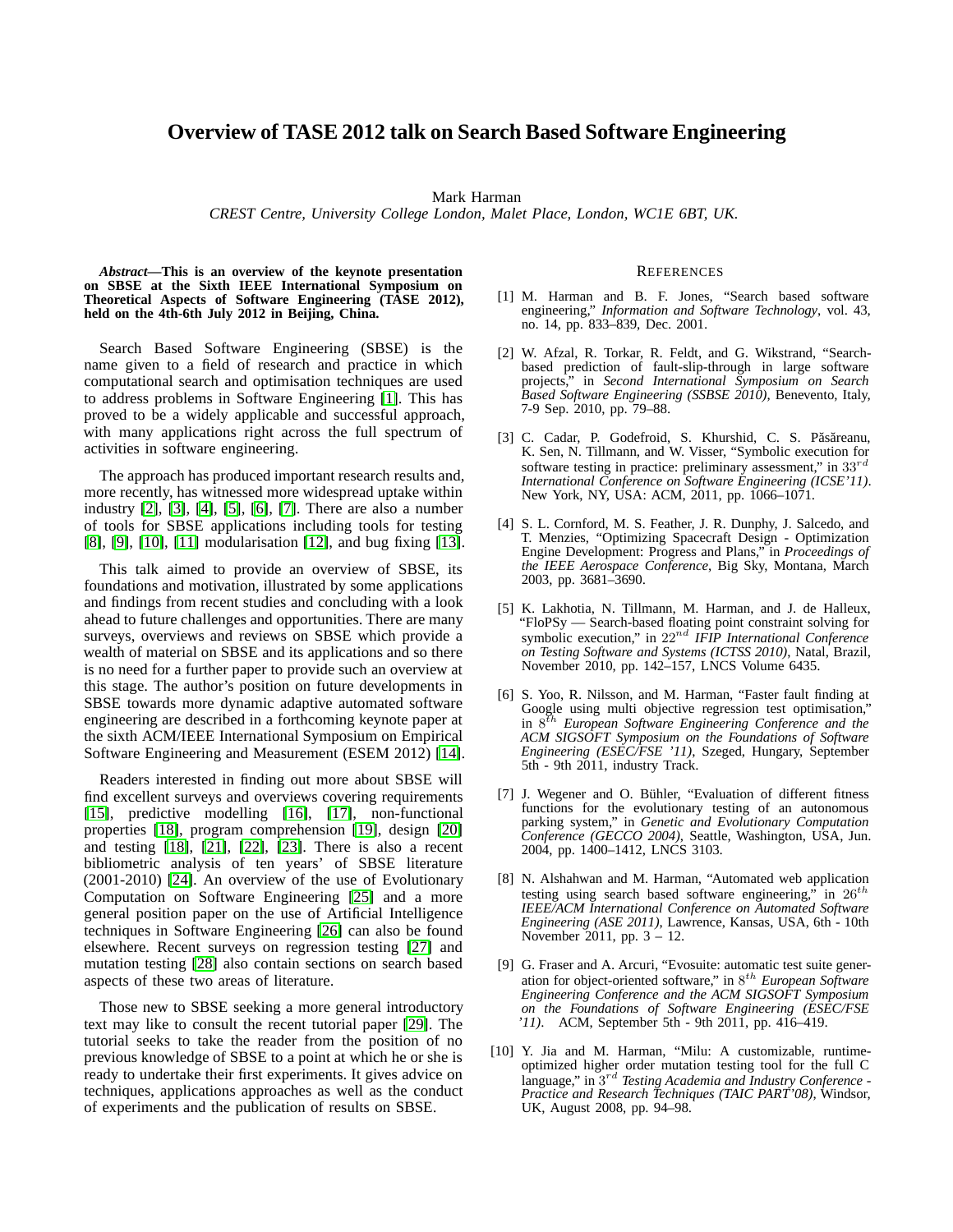## **Overview of TASE 2012 talk on Search Based Software Engineering**

Mark Harman

*CREST Centre, University College London, Malet Place, London, WC1E 6BT, UK.*

*Abstract***—This is an overview of the keynote presentation on SBSE at the Sixth IEEE International Symposium on Theoretical Aspects of Software Engineering (TASE 2012), held on the 4th-6th July 2012 in Beijing, China.**

Search Based Software Engineering (SBSE) is the name given to a field of research and practice in which computational search and optimisation techniques are used to address problems in Software Engineering [\[1\]](#page-0-0). This has proved to be a widely applicable and successful approach, with many applications right across the full spectrum of activities in software engineering.

The approach has produced important research results and, more recently, has witnessed more widespread uptake within industry [\[2\]](#page-0-1), [\[3\]](#page-0-2), [\[4\]](#page-0-3), [\[5\]](#page-0-4), [\[6\]](#page-0-5), [\[7\]](#page-0-6). There are also a number of tools for SBSE applications including tools for testing [\[8\]](#page-0-7), [\[9\]](#page-0-8), [\[10\]](#page-0-9), [\[11\]](#page-1-0) modularisation [\[12\]](#page-1-1), and bug fixing [\[13\]](#page-1-2).

This talk aimed to provide an overview of SBSE, its foundations and motivation, illustrated by some applications and findings from recent studies and concluding with a look ahead to future challenges and opportunities. There are many surveys, overviews and reviews on SBSE which provide a wealth of material on SBSE and its applications and so there is no need for a further paper to provide such an overview at this stage. The author's position on future developments in SBSE towards more dynamic adaptive automated software engineering are described in a forthcoming keynote paper at the sixth ACM/IEEE International Symposium on Empirical Software Engineering and Measurement (ESEM 2012) [\[14\]](#page-1-3).

Readers interested in finding out more about SBSE will find excellent surveys and overviews covering requirements [\[15\]](#page-1-4), predictive modelling [\[16\]](#page-1-5), [\[17\]](#page-1-6), non-functional properties [\[18\]](#page-1-7), program comprehension [\[19\]](#page-1-8), design [\[20\]](#page-1-9) and testing [\[18\]](#page-1-7), [\[21\]](#page-1-10), [\[22\]](#page-1-11), [\[23\]](#page-1-12). There is also a recent bibliometric analysis of ten years' of SBSE literature (2001-2010) [\[24\]](#page-1-13). An overview of the use of Evolutionary Computation on Software Engineering [\[25\]](#page-1-14) and a more general position paper on the use of Artificial Intelligence techniques in Software Engineering [\[26\]](#page-1-15) can also be found elsewhere. Recent surveys on regression testing [\[27\]](#page-1-16) and mutation testing [\[28\]](#page-1-17) also contain sections on search based aspects of these two areas of literature.

Those new to SBSE seeking a more general introductory text may like to consult the recent tutorial paper [\[29\]](#page-1-18). The tutorial seeks to take the reader from the position of no previous knowledge of SBSE to a point at which he or she is ready to undertake their first experiments. It gives advice on techniques, applications approaches as well as the conduct of experiments and the publication of results on SBSE.

## **REFERENCES**

- <span id="page-0-0"></span>[1] M. Harman and B. F. Jones, "Search based software engineering," *Information and Software Technology*, vol. 43, no. 14, pp. 833–839, Dec. 2001.
- <span id="page-0-1"></span>[2] W. Afzal, R. Torkar, R. Feldt, and G. Wikstrand, "Searchbased prediction of fault-slip-through in large software projects," in *Second International Symposium on Search Based Software Engineering (SSBSE 2010)*, Benevento, Italy, 7-9 Sep. 2010, pp. 79–88.
- <span id="page-0-2"></span>[3] C. Cadar, P. Godefroid, S. Khurshid, C. S. Păsăreanu, K. Sen, N. Tillmann, and W. Visser, "Symbolic execution for software testing in practice: preliminary assessment," in  $33^{rd}$ *International Conference on Software Engineering (ICSE'11)*. New York, NY, USA: ACM, 2011, pp. 1066–1071.
- <span id="page-0-3"></span>[4] S. L. Cornford, M. S. Feather, J. R. Dunphy, J. Salcedo, and T. Menzies, "Optimizing Spacecraft Design - Optimization Engine Development: Progress and Plans," in *Proceedings of the IEEE Aerospace Conference*, Big Sky, Montana, March 2003, pp. 3681–3690.
- <span id="page-0-4"></span>[5] K. Lakhotia, N. Tillmann, M. Harman, and J. de Halleux, "FloPSy — Search-based floating point constraint solving for symbolic execution," in 22nd *IFIP International Conference on Testing Software and Systems (ICTSS 2010)*, Natal, Brazil, November 2010, pp. 142–157, LNCS Volume 6435.
- <span id="page-0-5"></span>[6] S. Yoo, R. Nilsson, and M. Harman, "Faster fault finding at Google using multi objective regression test optimisation," in 8 th *European Software Engineering Conference and the ACM SIGSOFT Symposium on the Foundations of Software Engineering (ESEC/FSE '11)*, Szeged, Hungary, September 5th - 9th 2011, industry Track.
- <span id="page-0-6"></span>[7] J. Wegener and O. Bühler, "Evaluation of different fitness functions for the evolutionary testing of an autonomous parking system," in *Genetic and Evolutionary Computation Conference (GECCO 2004)*, Seattle, Washington, USA, Jun. 2004, pp. 1400–1412, LNCS 3103.
- <span id="page-0-7"></span>[8] N. Alshahwan and M. Harman, "Automated web application testing using search based software engineering," in  $26^{th}$ *IEEE/ACM International Conference on Automated Software Engineering (ASE 2011)*, Lawrence, Kansas, USA, 6th - 10th November 2011, pp. 3 – 12.
- <span id="page-0-8"></span>[9] G. Fraser and A. Arcuri, "Evosuite: automatic test suite generation for object-oriented software," in 8 th *European Software Engineering Conference and the ACM SIGSOFT Symposium on the Foundations of Software Engineering (ESEC/FSE '11)*. ACM, September 5th - 9th 2011, pp. 416–419.
- <span id="page-0-9"></span>[10] Y. Jia and M. Harman, "Milu: A customizable, runtimeoptimized higher order mutation testing tool for the full C language," in 3 rd *Testing Academia and Industry Conference - Practice and Research Techniques (TAIC PART'08)*, Windsor, UK, August 2008, pp. 94–98.